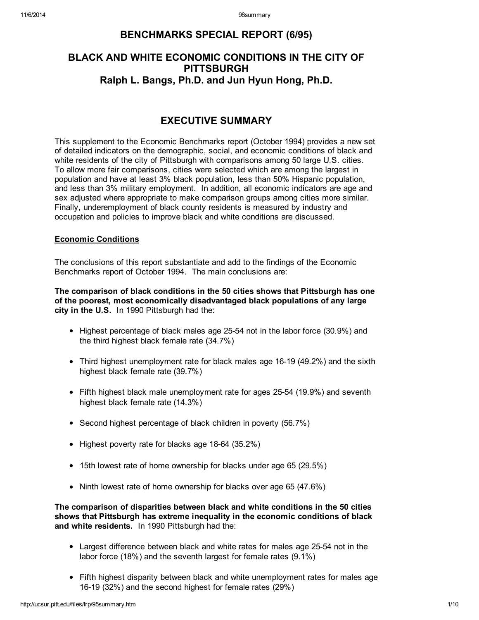# BENCHMARKS SPECIAL REPORT (6/95)

# BLACK AND WHITE ECONOMIC CONDITIONS IN THE CITY OF **PITTSBURGH** Ralph L. Bangs, Ph.D. and Jun Hyun Hong, Ph.D.

# EXECUTIVE SUMMARY

This supplement to the Economic Benchmarks report (October 1994) provides a new set of detailed indicators on the demographic, social, and economic conditions of black and white residents of the city of Pittsburgh with comparisons among 50 large U.S. cities. To allow more fair comparisons, cities were selected which are among the largest in population and have at least 3% black population, less than 50% Hispanic population, and less than 3% military employment. In addition, all economic indicators are age and sex adjusted where appropriate to make comparison groups among cities more similar. Finally, underemployment of black county residents is measured by industry and occupation and policies to improve black and white conditions are discussed.

# Economic Conditions

The conclusions of this report substantiate and add to the findings of the Economic Benchmarks report of October 1994. The main conclusions are:

The comparison of black conditions in the 50 cities shows that Pittsburgh has one of the poorest, most economically disadvantaged black populations of any large city in the U.S. In 1990 Pittsburgh had the:

- Highest percentage of black males age 25-54 not in the labor force (30.9%) and the third highest black female rate (34.7%)
- Third highest unemployment rate for black males age 16-19 (49.2%) and the sixth highest black female rate (39.7%)
- Fifth highest black male unemployment rate for ages 25-54 (19.9%) and seventh highest black female rate (14.3%)
- Second highest percentage of black children in poverty (56.7%)
- Highest poverty rate for blacks age 18-64 (35.2%)
- 15th lowest rate of home ownership for blacks under age 65 (29.5%)
- Ninth lowest rate of home ownership for blacks over age 65 (47.6%)

The comparison of disparities between black and white conditions in the 50 cities shows that Pittsburgh has extreme inequality in the economic conditions of black and white residents. In 1990 Pittsburgh had the:

- Largest difference between black and white rates for males age 25-54 not in the labor force (18%) and the seventh largest for female rates (9.1%)
- Fifth highest disparity between black and white unemployment rates for males age 16-19 (32%) and the second highest for female rates (29%)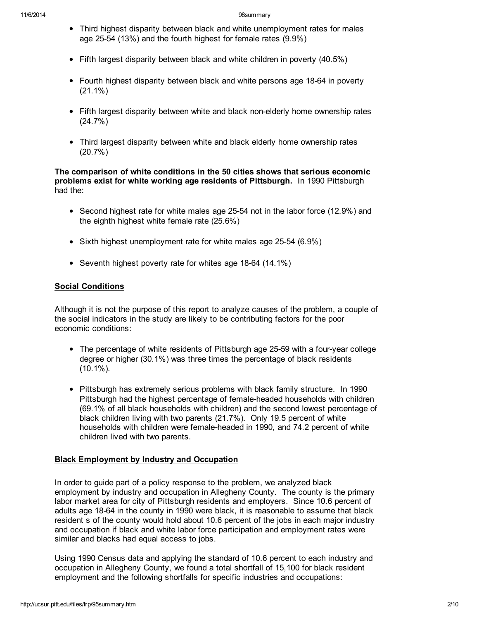- Third highest disparity between black and white unemployment rates for males age 25-54 (13%) and the fourth highest for female rates (9.9%)
- Fifth largest disparity between black and white children in poverty (40.5%)
- Fourth highest disparity between black and white persons age 18-64 in poverty (21.1%)
- Fifth largest disparity between white and black non-elderly home ownership rates (24.7%)
- Third largest disparity between white and black elderly home ownership rates (20.7%)

The comparison of white conditions in the 50 cities shows that serious economic problems exist for white working age residents of Pittsburgh. In 1990 Pittsburgh had the:

- Second highest rate for white males age 25-54 not in the labor force (12.9%) and the eighth highest white female rate (25.6%)
- Sixth highest unemployment rate for white males age 25-54 (6.9%)
- Seventh highest poverty rate for whites age 18-64 (14.1%)

## Social Conditions

Although it is not the purpose of this report to analyze causes of the problem, a couple of the social indicators in the study are likely to be contributing factors for the poor economic conditions:

- The percentage of white residents of Pittsburgh age 25-59 with a four-year college degree or higher (30.1%) was three times the percentage of black residents (10.1%).
- Pittsburgh has extremely serious problems with black family structure. In 1990 Pittsburgh had the highest percentage of female-headed households with children (69.1% of all black households with children) and the second lowest percentage of black children living with two parents (21.7%). Only 19.5 percent of white households with children were female-headed in 1990, and 74.2 percent of white children lived with two parents.

#### Black Employment by Industry and Occupation

In order to guide part of a policy response to the problem, we analyzed black employment by industry and occupation in Allegheny County. The county is the primary labor market area for city of Pittsburgh residents and employers. Since 10.6 percent of adults age 18-64 in the county in 1990 were black, it is reasonable to assume that black resident s of the county would hold about 10.6 percent of the jobs in each major industry and occupation if black and white labor force participation and employment rates were similar and blacks had equal access to jobs.

Using 1990 Census data and applying the standard of 10.6 percent to each industry and occupation in Allegheny County, we found a total shortfall of 15,100 for black resident employment and the following shortfalls for specific industries and occupations: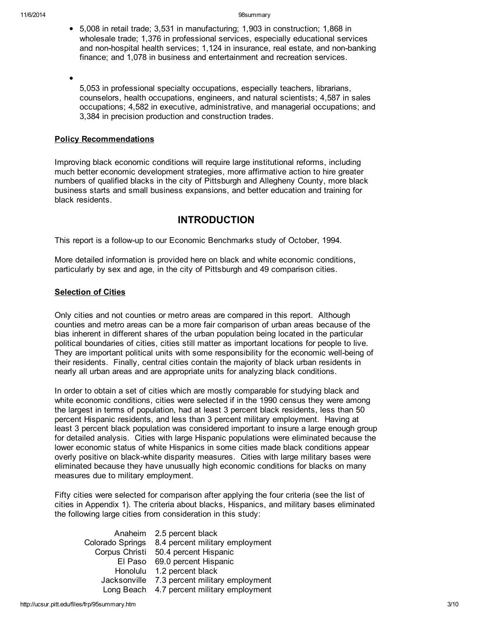5,008 in retail trade; 3,531 in manufacturing; 1,903 in construction; 1,868 in wholesale trade; 1,376 in professional services, especially educational services and non-hospital health services; 1,124 in insurance, real estate, and non-banking finance; and 1,078 in business and entertainment and recreation services.

5,053 in professional specialty occupations, especially teachers, librarians, counselors, health occupations, engineers, and natural scientists; 4,587 in sales occupations; 4,582 in executive, administrative, and managerial occupations; and 3,384 in precision production and construction trades.

## Policy Recommendations

Improving black economic conditions will require large institutional reforms, including much better economic development strategies, more affirmative action to hire greater numbers of qualified blacks in the city of Pittsburgh and Allegheny County, more black business starts and small business expansions, and better education and training for black residents.

# INTRODUCTION

This report is a follow-up to our Economic Benchmarks study of October, 1994.

More detailed information is provided here on black and white economic conditions, particularly by sex and age, in the city of Pittsburgh and 49 comparison cities.

# Selection of Cities

Only cities and not counties or metro areas are compared in this report. Although counties and metro areas can be a more fair comparison of urban areas because of the bias inherent in different shares of the urban population being located in the particular political boundaries of cities, cities still matter as important locations for people to live. They are important political units with some responsibility for the economic well-being of their residents. Finally, central cities contain the majority of black urban residents in nearly all urban areas and are appropriate units for analyzing black conditions.

In order to obtain a set of cities which are mostly comparable for studying black and white economic conditions, cities were selected if in the 1990 census they were among the largest in terms of population, had at least 3 percent black residents, less than 50 percent Hispanic residents, and less than 3 percent military employment. Having at least 3 percent black population was considered important to insure a large enough group for detailed analysis. Cities with large Hispanic populations were eliminated because the lower economic status of white Hispanics in some cities made black conditions appear overly positive on black-white disparity measures. Cities with large military bases were eliminated because they have unusually high economic conditions for blacks on many measures due to military employment.

Fifty cities were selected for comparison after applying the four criteria (see the list of cities in Appendix 1). The criteria about blacks, Hispanics, and military bases eliminated the following large cities from consideration in this study:

|                  | Anaheim 2.5 percent black       |
|------------------|---------------------------------|
| Colorado Springs | 8.4 percent military employment |
| Corpus Christi   | 50.4 percent Hispanic           |
| El Paso          | 69.0 percent Hispanic           |
|                  | Honolulu 1.2 percent black      |
| Jacksonville     | 7.3 percent military employment |
| Long Beach       | 4.7 percent military employment |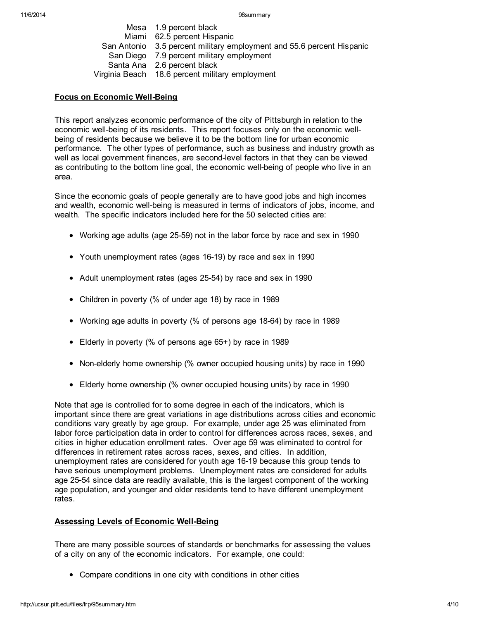Mesa 1.9 percent black Miami 62.5 percent Hispanic San Antonio 3.5 percent military employment and 55.6 percent Hispanic San Diego 7.9 percent military employment Santa Ana 2.6 percent black Virginia Beach 18.6 percent military employment

## Focus on Economic Well-Being

This report analyzes economic performance of the city of Pittsburgh in relation to the economic well-being of its residents. This report focuses only on the economic wellbeing of residents because we believe it to be the bottom line for urban economic performance. The other types of performance, such as business and industry growth as well as local government finances, are second-level factors in that they can be viewed as contributing to the bottom line goal, the economic well-being of people who live in an area.

Since the economic goals of people generally are to have good jobs and high incomes and wealth, economic well-being is measured in terms of indicators of jobs, income, and wealth. The specific indicators included here for the 50 selected cities are:

- Working age adults (age 25-59) not in the labor force by race and sex in 1990
- Youth unemployment rates (ages 16-19) by race and sex in 1990
- Adult unemployment rates (ages 25-54) by race and sex in 1990
- Children in poverty (% of under age 18) by race in 1989
- Working age adults in poverty (% of persons age 18-64) by race in 1989
- Elderly in poverty (% of persons age 65+) by race in 1989
- Non-elderly home ownership (% owner occupied housing units) by race in 1990
- Elderly home ownership (% owner occupied housing units) by race in 1990

Note that age is controlled for to some degree in each of the indicators, which is important since there are great variations in age distributions across cities and economic conditions vary greatly by age group. For example, under age 25 was eliminated from labor force participation data in order to control for differences across races, sexes, and cities in higher education enrollment rates. Over age 59 was eliminated to control for differences in retirement rates across races, sexes, and cities. In addition, unemployment rates are considered for youth age 16-19 because this group tends to have serious unemployment problems. Unemployment rates are considered for adults age 25-54 since data are readily available, this is the largest component of the working age population, and younger and older residents tend to have different unemployment rates.

#### Assessing Levels of Economic Well-Being

There are many possible sources of standards or benchmarks for assessing the values of a city on any of the economic indicators. For example, one could:

Compare conditions in one city with conditions in other cities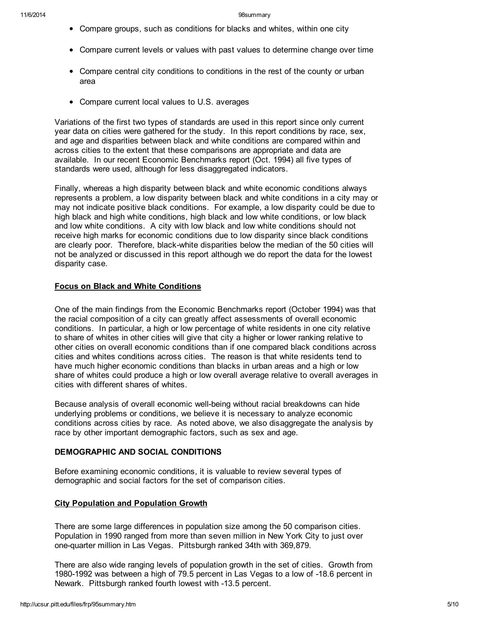- Compare groups, such as conditions for blacks and whites, within one city
- Compare current levels or values with past values to determine change over time
- Compare central city conditions to conditions in the rest of the county or urban area
- Compare current local values to U.S. averages

Variations of the first two types of standards are used in this report since only current year data on cities were gathered for the study. In this report conditions by race, sex, and age and disparities between black and white conditions are compared within and across cities to the extent that these comparisons are appropriate and data are available. In our recent Economic Benchmarks report (Oct. 1994) all five types of standards were used, although for less disaggregated indicators.

Finally, whereas a high disparity between black and white economic conditions always represents a problem, a low disparity between black and white conditions in a city may or may not indicate positive black conditions. For example, a low disparity could be due to high black and high white conditions, high black and low white conditions, or low black and low white conditions. A city with low black and low white conditions should not receive high marks for economic conditions due to low disparity since black conditions are clearly poor. Therefore, black-white disparities below the median of the 50 cities will not be analyzed or discussed in this report although we do report the data for the lowest disparity case.

## Focus on Black and White Conditions

One of the main findings from the Economic Benchmarks report (October 1994) was that the racial composition of a city can greatly affect assessments of overall economic conditions. In particular, a high or low percentage of white residents in one city relative to share of whites in other cities will give that city a higher or lower ranking relative to other cities on overall economic conditions than if one compared black conditions across cities and whites conditions across cities. The reason is that white residents tend to have much higher economic conditions than blacks in urban areas and a high or low share of whites could produce a high or low overall average relative to overall averages in cities with different shares of whites.

Because analysis of overall economic well-being without racial breakdowns can hide underlying problems or conditions, we believe it is necessary to analyze economic conditions across cities by race. As noted above, we also disaggregate the analysis by race by other important demographic factors, such as sex and age.

# DEMOGRAPHIC AND SOCIAL CONDITIONS

Before examining economic conditions, it is valuable to review several types of demographic and social factors for the set of comparison cities.

# City Population and Population Growth

There are some large differences in population size among the 50 comparison cities. Population in 1990 ranged from more than seven million in New York City to just over one-quarter million in Las Vegas. Pittsburgh ranked 34th with 369,879.

There are also wide ranging levels of population growth in the set of cities. Growth from 1980-1992 was between a high of 79.5 percent in Las Vegas to a low of -18.6 percent in Newark. Pittsburgh ranked fourth lowest with -13.5 percent.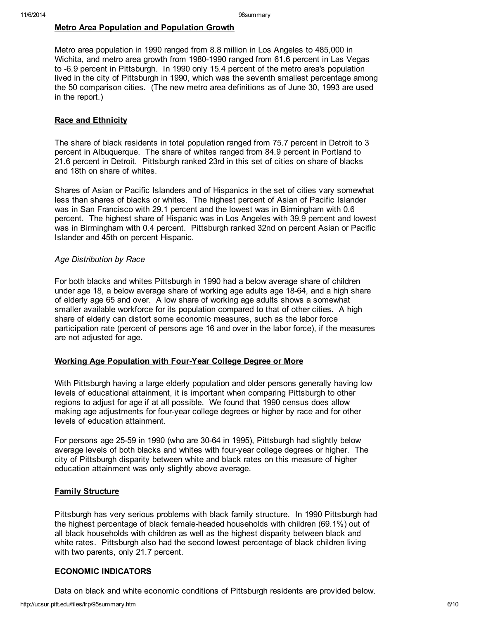## Metro Area Population and Population Growth

Metro area population in 1990 ranged from 8.8 million in Los Angeles to 485,000 in Wichita, and metro area growth from 1980-1990 ranged from 61.6 percent in Las Vegas to -6.9 percent in Pittsburgh. In 1990 only 15.4 percent of the metro area's population lived in the city of Pittsburgh in 1990, which was the seventh smallest percentage among the 50 comparison cities. (The new metro area definitions as of June 30, 1993 are used in the report.)

#### **Race and Ethnicity**

The share of black residents in total population ranged from 75.7 percent in Detroit to 3 percent in Albuquerque. The share of whites ranged from 84.9 percent in Portland to 21.6 percent in Detroit. Pittsburgh ranked 23rd in this set of cities on share of blacks and 18th on share of whites.

Shares of Asian or Pacific Islanders and of Hispanics in the set of cities vary somewhat less than shares of blacks or whites. The highest percent of Asian of Pacific Islander was in San Francisco with 29.1 percent and the lowest was in Birmingham with 0.6 percent. The highest share of Hispanic was in Los Angeles with 39.9 percent and lowest was in Birmingham with 0.4 percent. Pittsburgh ranked 32nd on percent Asian or Pacific Islander and 45th on percent Hispanic.

#### *Age Distribution by Race*

For both blacks and whites Pittsburgh in 1990 had a below average share of children under age 18, a below average share of working age adults age 18-64, and a high share of elderly age 65 and over. A low share of working age adults shows a somewhat smaller available workforce for its population compared to that of other cities. A high share of elderly can distort some economic measures, such as the labor force participation rate (percent of persons age 16 and over in the labor force), if the measures are not adjusted for age.

#### Working Age Population with Four-Year College Degree or More

With Pittsburgh having a large elderly population and older persons generally having low levels of educational attainment, it is important when comparing Pittsburgh to other regions to adjust for age if at all possible. We found that 1990 census does allow making age adjustments for four-year college degrees or higher by race and for other levels of education attainment.

For persons age 25-59 in 1990 (who are 30-64 in 1995), Pittsburgh had slightly below average levels of both blacks and whites with four-year college degrees or higher. The city of Pittsburgh disparity between white and black rates on this measure of higher education attainment was only slightly above average.

#### **Family Structure**

Pittsburgh has very serious problems with black family structure. In 1990 Pittsburgh had the highest percentage of black female-headed households with children (69.1%) out of all black households with children as well as the highest disparity between black and white rates. Pittsburgh also had the second lowest percentage of black children living with two parents, only 21.7 percent.

# ECONOMIC INDICATORS

Data on black and white economic conditions of Pittsburgh residents are provided below.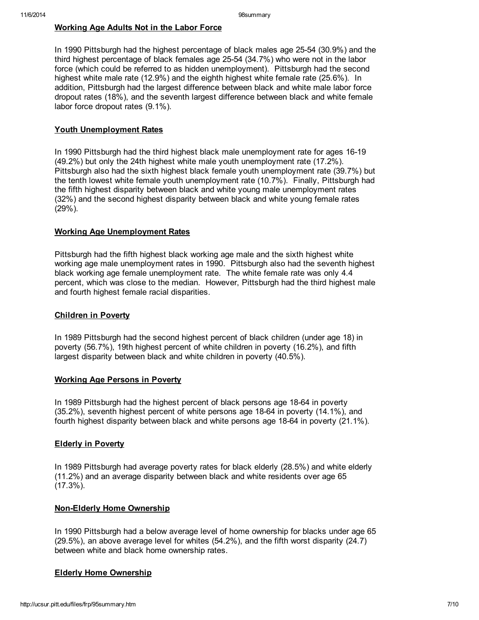## Working Age Adults Not in the Labor Force

In 1990 Pittsburgh had the highest percentage of black males age 25-54 (30.9%) and the third highest percentage of black females age 25-54 (34.7%) who were not in the labor force (which could be referred to as hidden unemployment). Pittsburgh had the second highest white male rate (12.9%) and the eighth highest white female rate (25.6%). In addition, Pittsburgh had the largest difference between black and white male labor force dropout rates (18%), and the seventh largest difference between black and white female labor force dropout rates (9.1%).

#### Youth Unemployment Rates

In 1990 Pittsburgh had the third highest black male unemployment rate for ages 16-19 (49.2%) but only the 24th highest white male youth unemployment rate (17.2%). Pittsburgh also had the sixth highest black female youth unemployment rate (39.7%) but the tenth lowest white female youth unemployment rate (10.7%). Finally, Pittsburgh had the fifth highest disparity between black and white young male unemployment rates (32%) and the second highest disparity between black and white young female rates  $(29\%)$ .

## Working Age Unemployment Rates

Pittsburgh had the fifth highest black working age male and the sixth highest white working age male unemployment rates in 1990. Pittsburgh also had the seventh highest black working age female unemployment rate. The white female rate was only 4.4 percent, which was close to the median. However, Pittsburgh had the third highest male and fourth highest female racial disparities.

#### Children in Poverty

In 1989 Pittsburgh had the second highest percent of black children (under age 18) in poverty (56.7%), 19th highest percent of white children in poverty (16.2%), and fifth largest disparity between black and white children in poverty (40.5%).

#### Working Age Persons in Poverty

In 1989 Pittsburgh had the highest percent of black persons age 18-64 in poverty (35.2%), seventh highest percent of white persons age 18-64 in poverty (14.1%), and fourth highest disparity between black and white persons age 18-64 in poverty (21.1%).

#### Elderly in Poverty

In 1989 Pittsburgh had average poverty rates for black elderly (28.5%) and white elderly (11.2%) and an average disparity between black and white residents over age 65 (17.3%).

#### Non-Elderly Home Ownership

In 1990 Pittsburgh had a below average level of home ownership for blacks under age 65 (29.5%), an above average level for whites (54.2%), and the fifth worst disparity (24.7) between white and black home ownership rates.

#### Elderly Home Ownership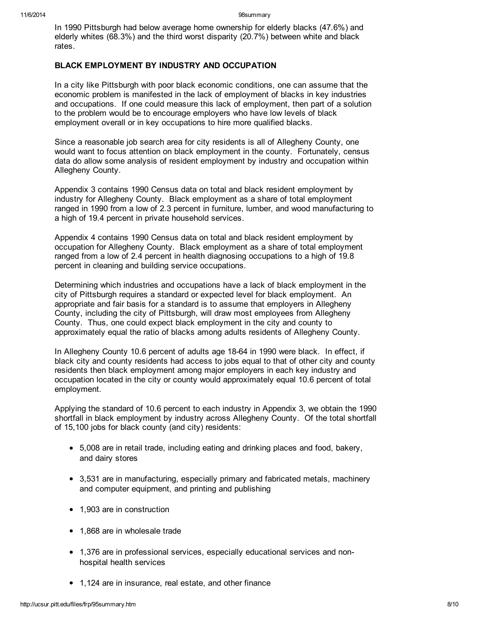In 1990 Pittsburgh had below average home ownership for elderly blacks (47.6%) and elderly whites (68.3%) and the third worst disparity (20.7%) between white and black rates.

## BLACK EMPLOYMENT BY INDUSTRY AND OCCUPATION

In a city like Pittsburgh with poor black economic conditions, one can assume that the economic problem is manifested in the lack of employment of blacks in key industries and occupations. If one could measure this lack of employment, then part of a solution to the problem would be to encourage employers who have low levels of black employment overall or in key occupations to hire more qualified blacks.

Since a reasonable job search area for city residents is all of Allegheny County, one would want to focus attention on black employment in the county. Fortunately, census data do allow some analysis of resident employment by industry and occupation within Allegheny County.

Appendix 3 contains 1990 Census data on total and black resident employment by industry for Allegheny County. Black employment as a share of total employment ranged in 1990 from a low of 2.3 percent in furniture, lumber, and wood manufacturing to a high of 19.4 percent in private household services.

Appendix 4 contains 1990 Census data on total and black resident employment by occupation for Allegheny County. Black employment as a share of total employment ranged from a low of 2.4 percent in health diagnosing occupations to a high of 19.8 percent in cleaning and building service occupations.

Determining which industries and occupations have a lack of black employment in the city of Pittsburgh requires a standard or expected level for black employment. An appropriate and fair basis for a standard is to assume that employers in Allegheny County, including the city of Pittsburgh, will draw most employees from Allegheny County. Thus, one could expect black employment in the city and county to approximately equal the ratio of blacks among adults residents of Allegheny County.

In Allegheny County 10.6 percent of adults age 18-64 in 1990 were black. In effect, if black city and county residents had access to jobs equal to that of other city and county residents then black employment among major employers in each key industry and occupation located in the city or county would approximately equal 10.6 percent of total employment.

Applying the standard of 10.6 percent to each industry in Appendix 3, we obtain the 1990 shortfall in black employment by industry across Allegheny County. Of the total shortfall of 15,100 jobs for black county (and city) residents:

- 5,008 are in retail trade, including eating and drinking places and food, bakery, and dairy stores
- 3,531 are in manufacturing, especially primary and fabricated metals, machinery and computer equipment, and printing and publishing
- 1,903 are in construction
- 1,868 are in wholesale trade
- 1,376 are in professional services, especially educational services and nonhospital health services
- 1,124 are in insurance, real estate, and other finance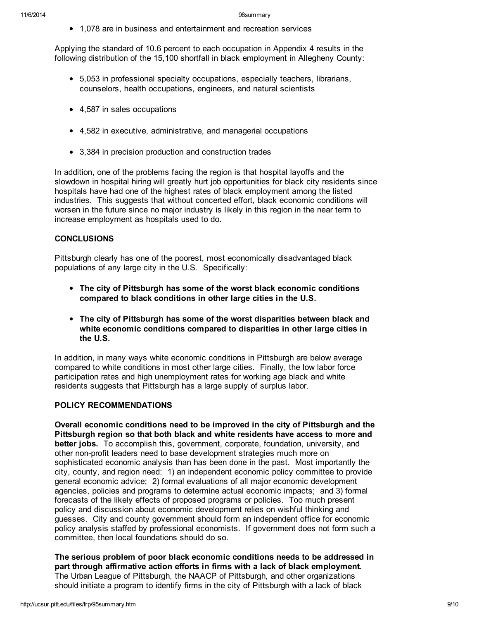1,078 are in business and entertainment and recreation services

Applying the standard of 10.6 percent to each occupation in Appendix 4 results in the following distribution of the 15,100 shortfall in black employment in Allegheny County:

- 5,053 in professional specialty occupations, especially teachers, librarians, counselors, health occupations, engineers, and natural scientists
- 4,587 in sales occupations
- 4,582 in executive, administrative, and managerial occupations
- 3,384 in precision production and construction trades

In addition, one of the problems facing the region is that hospital layoffs and the slowdown in hospital hiring will greatly hurt job opportunities for black city residents since hospitals have had one of the highest rates of black employment among the listed industries. This suggests that without concerted effort, black economic conditions will worsen in the future since no major industry is likely in this region in the near term to increase employment as hospitals used to do.

## **CONCLUSIONS**

Pittsburgh clearly has one of the poorest, most economically disadvantaged black populations of any large city in the U.S. Specifically:

- The city of Pittsburgh has some of the worst black economic conditions compared to black conditions in other large cities in the U.S.
- The city of Pittsburgh has some of the worst disparities between black and white economic conditions compared to disparities in other large cities in the U.S.

In addition, in many ways white economic conditions in Pittsburgh are below average compared to white conditions in most other large cities. Finally, the low labor force participation rates and high unemployment rates for working age black and white residents suggests that Pittsburgh has a large supply of surplus labor.

## POLICY RECOMMENDATIONS

Overall economic conditions need to be improved in the city of Pittsburgh and the Pittsburgh region so that both black and white residents have access to more and better jobs. To accomplish this, government, corporate, foundation, university, and other non-profit leaders need to base development strategies much more on sophisticated economic analysis than has been done in the past. Most importantly the city, county, and region need: 1) an independent economic policy committee to provide general economic advice; 2) formal evaluations of all major economic development agencies, policies and programs to determine actual economic impacts; and 3) formal forecasts of the likely effects of proposed programs or policies. Too much present policy and discussion about economic development relies on wishful thinking and guesses. City and county government should form an independent office for economic policy analysis staffed by professional economists. If government does not form such a committee, then local foundations should do so.

The serious problem of poor black economic conditions needs to be addressed in part through affirmative action efforts in firms with a lack of black employment. The Urban League of Pittsburgh, the NAACP of Pittsburgh, and other organizations should initiate a program to identify firms in the city of Pittsburgh with a lack of black